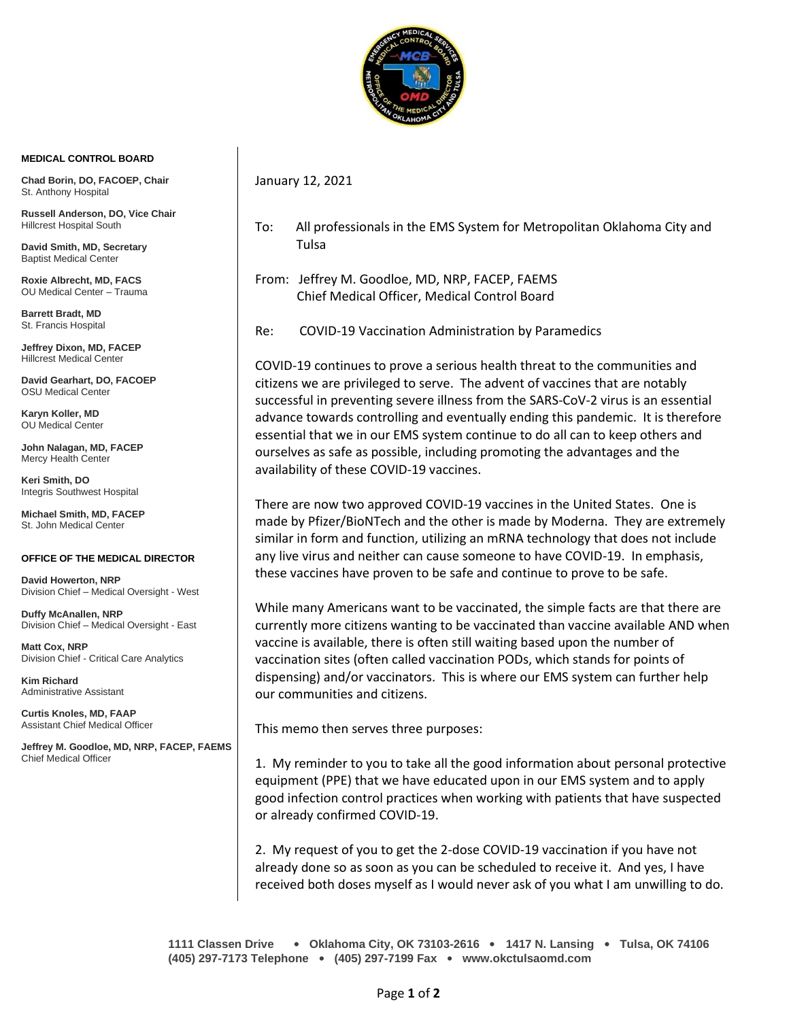

## **MEDICAL CONTROL BOARD**

**Chad Borin, DO, FACOEP, Chair**  St. Anthony Hospital

**Russell Anderson, DO, Vice Chair** Hillcrest Hospital South

**David Smith, MD, Secretary** Baptist Medical Center

**Roxie Albrecht, MD, FACS** OU Medical Center – Trauma

**Barrett Bradt, MD** St. Francis Hospital

**Jeffrey Dixon, MD, FACEP** Hillcrest Medical Center

**David Gearhart, DO, FACOEP** OSU Medical Center

**Karyn Koller, MD** OU Medical Center

**John Nalagan, MD, FACEP** Mercy Health Center

**Keri Smith, DO** Integris Southwest Hospital

**Michael Smith, MD, FACEP** St. John Medical Center

## **OFFICE OF THE MEDICAL DIRECTOR**

**David Howerton, NRP** Division Chief – Medical Oversight - West

**Duffy McAnallen, NRP** Division Chief – Medical Oversight - East

**Matt Cox, NRP** Division Chief - Critical Care Analytics

**Kim Richard** Administrative Assistant

**Curtis Knoles, MD, FAAP** Assistant Chief Medical Officer

**Jeffrey M. Goodloe, MD, NRP, FACEP, FAEMS** Chief Medical Officer

- January 12, 2021
- To: All professionals in the EMS System for Metropolitan Oklahoma City and Tulsa
- From: Jeffrey M. Goodloe, MD, NRP, FACEP, FAEMS Chief Medical Officer, Medical Control Board
- Re: COVID-19 Vaccination Administration by Paramedics

COVID-19 continues to prove a serious health threat to the communities and citizens we are privileged to serve. The advent of vaccines that are notably successful in preventing severe illness from the SARS-CoV-2 virus is an essential advance towards controlling and eventually ending this pandemic. It is therefore essential that we in our EMS system continue to do all can to keep others and ourselves as safe as possible, including promoting the advantages and the availability of these COVID-19 vaccines.

There are now two approved COVID-19 vaccines in the United States. One is made by Pfizer/BioNTech and the other is made by Moderna. They are extremely similar in form and function, utilizing an mRNA technology that does not include any live virus and neither can cause someone to have COVID-19. In emphasis, these vaccines have proven to be safe and continue to prove to be safe.

While many Americans want to be vaccinated, the simple facts are that there are currently more citizens wanting to be vaccinated than vaccine available AND when vaccine is available, there is often still waiting based upon the number of vaccination sites (often called vaccination PODs, which stands for points of dispensing) and/or vaccinators. This is where our EMS system can further help our communities and citizens.

This memo then serves three purposes:

1. My reminder to you to take all the good information about personal protective equipment (PPE) that we have educated upon in our EMS system and to apply good infection control practices when working with patients that have suspected or already confirmed COVID-19.

2. My request of you to get the 2-dose COVID-19 vaccination if you have not already done so as soon as you can be scheduled to receive it. And yes, I have received both doses myself as I would never ask of you what I am unwilling to do.